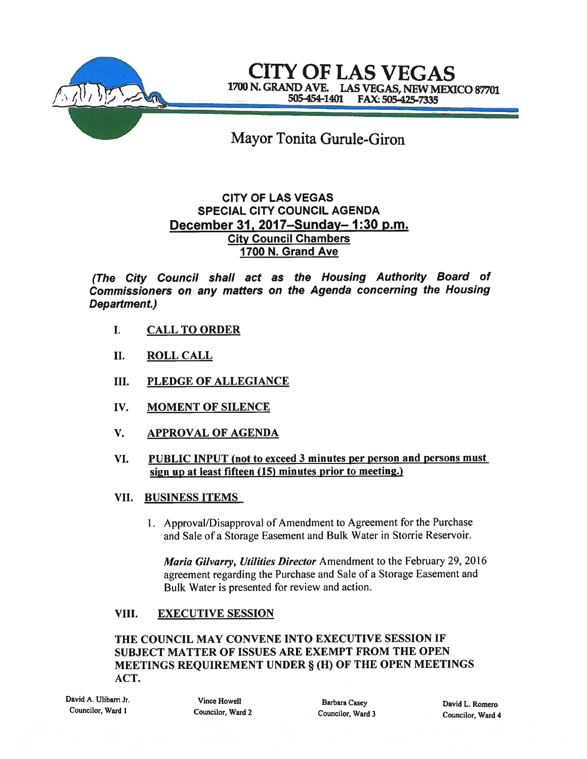

CITY OF LAS VEGAS 1700 N. GRAND AVE. LAS VEGAS, NEW MEXICO 87701<br>505-454-1401 FAX: 505-425-7335 FAX: 505-425-7335

Mayor Tonita Gurule-Giron

# CITY OF LAS VEGAS SPECIAL CITY COUNCIL AGENDA December 31, 2017—Sunday— 1:30 p.m. City Council Chambers 1700 N. Grand Ave

(The City Council shall act as the Housing Authority Board of Commissioners on any matters on the Agenda concerning the Housing Department.)

- I. CALL TO ORDER
- II. ROLL CALL
- III. PLEDGE OF ALLEGIANCE
- IV. MOMENT OF SILENCE
- V. APPROVAL OF AGENDA
- VI. PUBLIC INPUT (not to exceed 3 minutes per person and persons must sign up at least fifteen (15) minutes prior to meeting.)
- VII. BUSINESS ITEMS
	- 1. Approval/Disapproval of Amendment to Agreement for the Purchase and Sale of <sup>a</sup> Storage Easement and Bulk Water in Storrie Reservoir.

Maria Gilvarry, Utilities Director Amendment to the February 29, 2016 agreemen<sup>t</sup> regarding the Purchase and Sale of <sup>a</sup> Storage Easement and Bulk Water is presented for review and action.

## VIII. EXECUTIVE SESSION

## THE COUNCIL MAY CONVENE INTO EXECUTIVE SESSION IF SUBJECT MATTER OF ISSUES ARE EXEMPT FROM THE OPEN MEETINGS REQUIREMENT UNDER § (H) OF THE OPEN MEETINGS ACT.

David A. Ulibarri Jr.<br>
Councilor, Ward 1 Councilor. Ward 2 Councilor Ward 2 Councilor Ward 2

Councilor Ward <sup>I</sup> Councilor, Ward <sup>2</sup> Councilor, Ward <sup>3</sup>

David L. Romero Councilor, Ward 4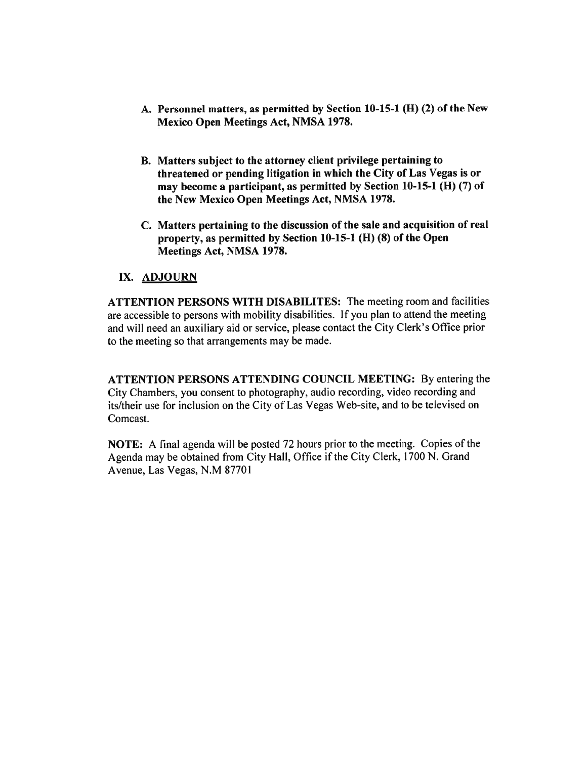- A. Personnel matters, as permitted by Section 10-15-1 (H) (2) of the New Mexico Open Meetings Act, NMSA 1978.
- B. Matters subject to the attorney client privilege pertaining to threatened or pending litigation in which the City of Las Vegas is or may become a participant, as permitted by Section  $10-15-1$  (H)  $(7)$  of the New Mexico Open Meetings Act, NMSA 1978.
- C. Matters pertaining to the discussion of the sale and acquisition of real property, as permitted by Section 10-15-1 (H) (8) of the Open Meetings Act, NMSA 1978.

#### IX. ADJOURN

ATTENTION PERSONS WITH DISABILITES: The meeting room and facilities are accessible to persons with mobility disabilities. If you plan to attend the meeting and will need an auxiliary aid or service, please contact the City Clerk's Office prior to the meeting so that arrangements may be made.

ATTENTION PERSONS ATTENDING COUNCIL MEETING: By entering the City Chambers, you consent to <sup>p</sup>hotography, audio recording, video recording and its/their use for inclusion on the City of Las Vegas Web-site, and to be televised on Comcast.

NOTE: A final agenda will be posted 72 hours prior to the meeting. Copies of the Agenda may be obtained from City Hall, Office if the City Clerk, <sup>1700</sup> N. Grand Avenue, Las Vegas. N.M 87701